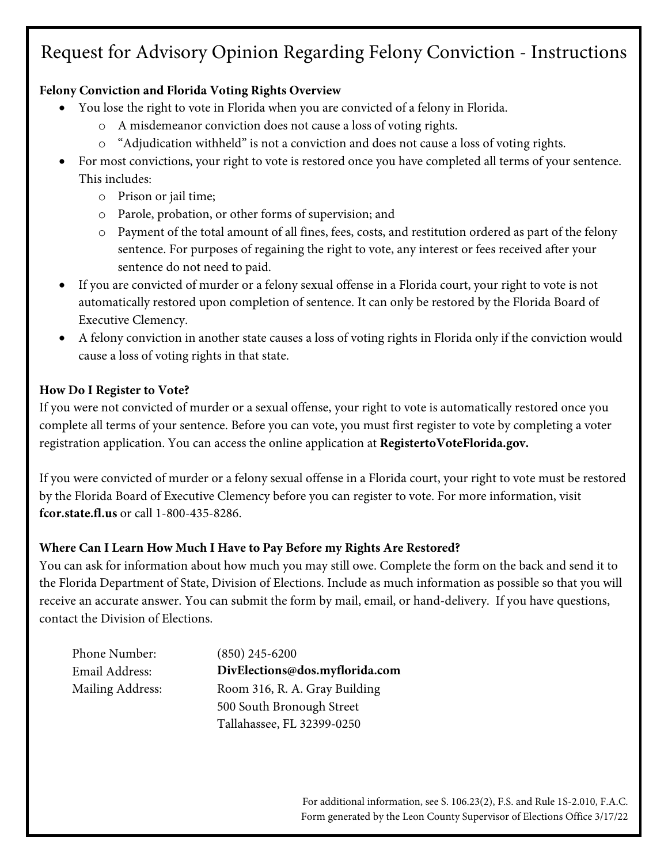## Request for Advisory Opinion Regarding Felony Conviction - Instructions

### **Felony Conviction and Florida Voting Rights Overview**

- You lose the right to vote in Florida when you are convicted of a felony in Florida.
	- o A misdemeanor conviction does not cause a loss of voting rights.
	- o "Adjudication withheld" is not a conviction and does not cause a loss of voting rights.
- For most convictions, your right to vote is restored once you have completed all terms of your sentence. This includes:
	- o Prison or jail time;
	- o Parole, probation, or other forms of supervision; and
	- o Payment of the total amount of all fines, fees, costs, and restitution ordered as part of the felony sentence. For purposes of regaining the right to vote, any interest or fees received after your sentence do not need to paid.
- If you are convicted of murder or a felony sexual offense in a Florida court, your right to vote is not automatically restored upon completion of sentence. It can only be restored by the Florida Board of Executive Clemency.
- A felony conviction in another state causes a loss of voting rights in Florida only if the conviction would cause a loss of voting rights in that state.

#### **How Do I Register to Vote?**

If you were not convicted of murder or a sexual offense, your right to vote is automatically restored once you complete all terms of your sentence. Before you can vote, you must first register to vote by completing a voter registration application. You can access the online application at **RegistertoVoteFlorida.gov.**

If you were convicted of murder or a felony sexual offense in a Florida court, your right to vote must be restored by the Florida Board of Executive Clemency before you can register to vote. For more information, visit **fcor.state.fl.us** or call 1-800-435-8286.

### **Where Can I Learn How Much I Have to Pay Before my Rights Are Restored?**

You can ask for information about how much you may still owe. Complete the form on the back and send it to the Florida Department of State, Division of Elections. Include as much information as possible so that you will receive an accurate answer. You can submit the form by mail, email, or hand-delivery. If you have questions, contact the Division of Elections.

| Phone Number:    |
|------------------|
| Email Address:   |
| Mailing Address: |

 $(850)$  245-6200  $DivElections@dos.myflorida.com$ Room 316, R. A. Gray Building 500 South Bronough Street Tallahassee, FL 32399-0250

> For additional information, see S. 106.23(2), F.S. and Rule 1S-2.010, F.A.C. Form generated by the Leon County Supervisor of Elections Office 3/17/22